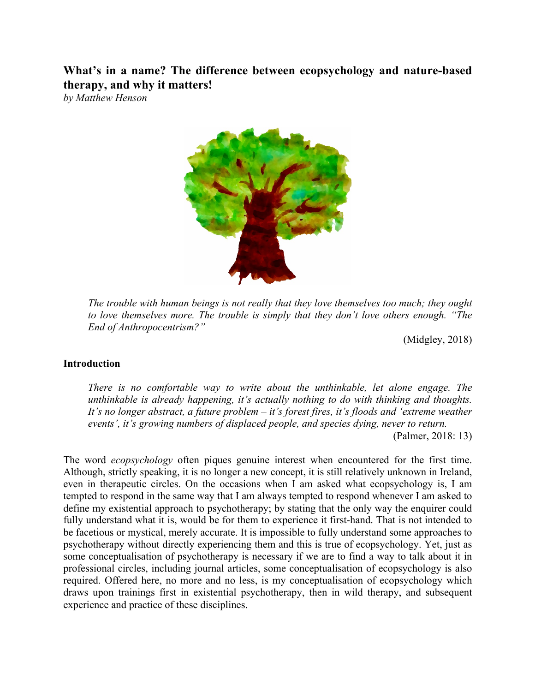**What's in a name? The difference between ecopsychology and nature-based therapy, and why it matters!**

*by Matthew Henson*



*The trouble with human beings is not really that they love themselves too much; they ought to love themselves more. The trouble is simply that they don't love others enough. "The End of Anthropocentrism?"* 

(Midgley, 2018)

#### **Introduction**

*There is no comfortable way to write about the unthinkable, let alone engage. The unthinkable is already happening, it's actually nothing to do with thinking and thoughts. It's no longer abstract, a future problem – it's forest fires, it's floods and 'extreme weather events', it's growing numbers of displaced people, and species dying, never to return.* (Palmer, 2018: 13)

The word *ecopsychology* often piques genuine interest when encountered for the first time. Although, strictly speaking, it is no longer a new concept, it is still relatively unknown in Ireland, even in therapeutic circles. On the occasions when I am asked what ecopsychology is, I am tempted to respond in the same way that I am always tempted to respond whenever I am asked to define my existential approach to psychotherapy; by stating that the only way the enquirer could fully understand what it is, would be for them to experience it first-hand. That is not intended to be facetious or mystical, merely accurate. It is impossible to fully understand some approaches to psychotherapy without directly experiencing them and this is true of ecopsychology. Yet, just as some conceptualisation of psychotherapy is necessary if we are to find a way to talk about it in professional circles, including journal articles, some conceptualisation of ecopsychology is also required. Offered here, no more and no less, is my conceptualisation of ecopsychology which draws upon trainings first in existential psychotherapy, then in wild therapy, and subsequent experience and practice of these disciplines.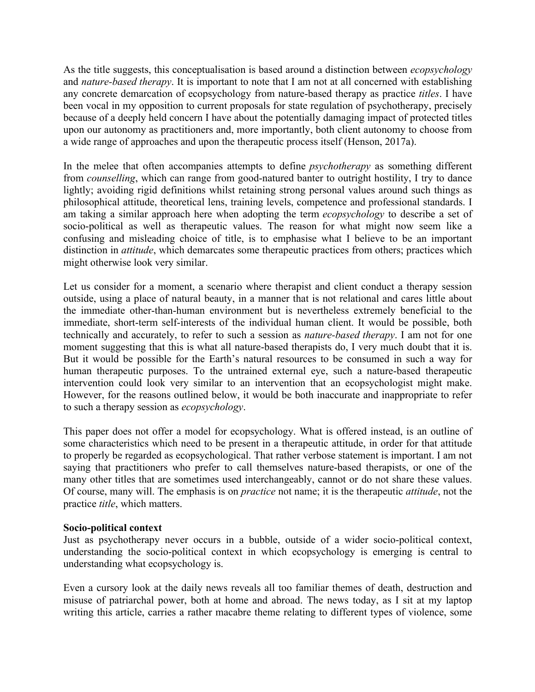As the title suggests, this conceptualisation is based around a distinction between *ecopsychology* and *nature-based therapy*. It is important to note that I am not at all concerned with establishing any concrete demarcation of ecopsychology from nature-based therapy as practice *titles*. I have been vocal in my opposition to current proposals for state regulation of psychotherapy, precisely because of a deeply held concern I have about the potentially damaging impact of protected titles upon our autonomy as practitioners and, more importantly, both client autonomy to choose from a wide range of approaches and upon the therapeutic process itself (Henson, 2017a).

In the melee that often accompanies attempts to define *psychotherapy* as something different from *counselling*, which can range from good-natured banter to outright hostility, I try to dance lightly; avoiding rigid definitions whilst retaining strong personal values around such things as philosophical attitude, theoretical lens, training levels, competence and professional standards. I am taking a similar approach here when adopting the term *ecopsychology* to describe a set of socio-political as well as therapeutic values. The reason for what might now seem like a confusing and misleading choice of title, is to emphasise what I believe to be an important distinction in *attitude*, which demarcates some therapeutic practices from others; practices which might otherwise look very similar.

Let us consider for a moment, a scenario where therapist and client conduct a therapy session outside, using a place of natural beauty, in a manner that is not relational and cares little about the immediate other-than-human environment but is nevertheless extremely beneficial to the immediate, short-term self-interests of the individual human client. It would be possible, both technically and accurately, to refer to such a session as *nature-based therapy*. I am not for one moment suggesting that this is what all nature-based therapists do, I very much doubt that it is. But it would be possible for the Earth's natural resources to be consumed in such a way for human therapeutic purposes. To the untrained external eye, such a nature-based therapeutic intervention could look very similar to an intervention that an ecopsychologist might make. However, for the reasons outlined below, it would be both inaccurate and inappropriate to refer to such a therapy session as *ecopsychology*.

This paper does not offer a model for ecopsychology. What is offered instead, is an outline of some characteristics which need to be present in a therapeutic attitude, in order for that attitude to properly be regarded as ecopsychological. That rather verbose statement is important. I am not saying that practitioners who prefer to call themselves nature-based therapists, or one of the many other titles that are sometimes used interchangeably, cannot or do not share these values. Of course, many will. The emphasis is on *practice* not name; it is the therapeutic *attitude*, not the practice *title*, which matters.

### **Socio-political context**

Just as psychotherapy never occurs in a bubble, outside of a wider socio-political context, understanding the socio-political context in which ecopsychology is emerging is central to understanding what ecopsychology is.

Even a cursory look at the daily news reveals all too familiar themes of death, destruction and misuse of patriarchal power, both at home and abroad. The news today, as I sit at my laptop writing this article, carries a rather macabre theme relating to different types of violence, some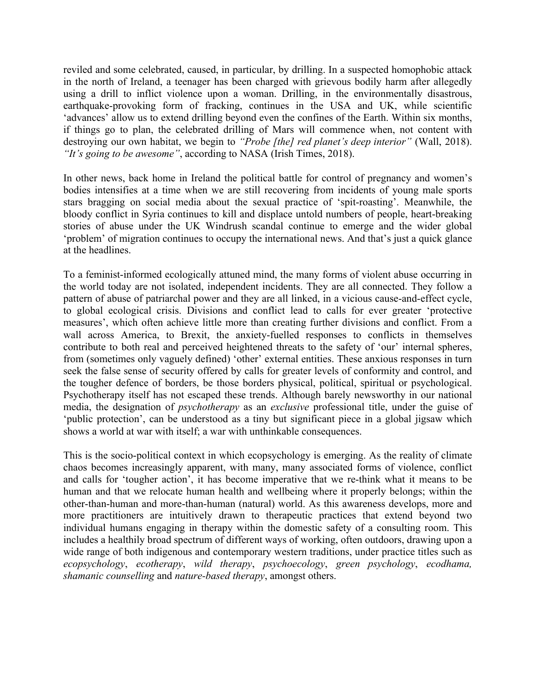reviled and some celebrated, caused, in particular, by drilling. In a suspected homophobic attack in the north of Ireland, a teenager has been charged with grievous bodily harm after allegedly using a drill to inflict violence upon a woman. Drilling, in the environmentally disastrous, earthquake-provoking form of fracking, continues in the USA and UK, while scientific 'advances' allow us to extend drilling beyond even the confines of the Earth. Within six months, if things go to plan, the celebrated drilling of Mars will commence when, not content with destroying our own habitat, we begin to *"Probe [the] red planet's deep interior"* (Wall, 2018). *"It's going to be awesome"*, according to NASA (Irish Times, 2018).

In other news, back home in Ireland the political battle for control of pregnancy and women's bodies intensifies at a time when we are still recovering from incidents of young male sports stars bragging on social media about the sexual practice of 'spit-roasting'. Meanwhile, the bloody conflict in Syria continues to kill and displace untold numbers of people, heart-breaking stories of abuse under the UK Windrush scandal continue to emerge and the wider global 'problem' of migration continues to occupy the international news. And that's just a quick glance at the headlines.

To a feminist-informed ecologically attuned mind, the many forms of violent abuse occurring in the world today are not isolated, independent incidents. They are all connected. They follow a pattern of abuse of patriarchal power and they are all linked, in a vicious cause-and-effect cycle, to global ecological crisis. Divisions and conflict lead to calls for ever greater 'protective measures', which often achieve little more than creating further divisions and conflict. From a wall across America, to Brexit, the anxiety-fuelled responses to conflicts in themselves contribute to both real and perceived heightened threats to the safety of 'our' internal spheres, from (sometimes only vaguely defined) 'other' external entities. These anxious responses in turn seek the false sense of security offered by calls for greater levels of conformity and control, and the tougher defence of borders, be those borders physical, political, spiritual or psychological. Psychotherapy itself has not escaped these trends. Although barely newsworthy in our national media, the designation of *psychotherapy* as an *exclusive* professional title, under the guise of 'public protection', can be understood as a tiny but significant piece in a global jigsaw which shows a world at war with itself; a war with unthinkable consequences.

This is the socio-political context in which ecopsychology is emerging. As the reality of climate chaos becomes increasingly apparent, with many, many associated forms of violence, conflict and calls for 'tougher action', it has become imperative that we re-think what it means to be human and that we relocate human health and wellbeing where it properly belongs; within the other-than-human and more-than-human (natural) world. As this awareness develops, more and more practitioners are intuitively drawn to therapeutic practices that extend beyond two individual humans engaging in therapy within the domestic safety of a consulting room. This includes a healthily broad spectrum of different ways of working, often outdoors, drawing upon a wide range of both indigenous and contemporary western traditions, under practice titles such as *ecopsychology*, *ecotherapy*, *wild therapy*, *psychoecology*, *green psychology*, *ecodhama, shamanic counselling* and *nature-based therapy*, amongst others.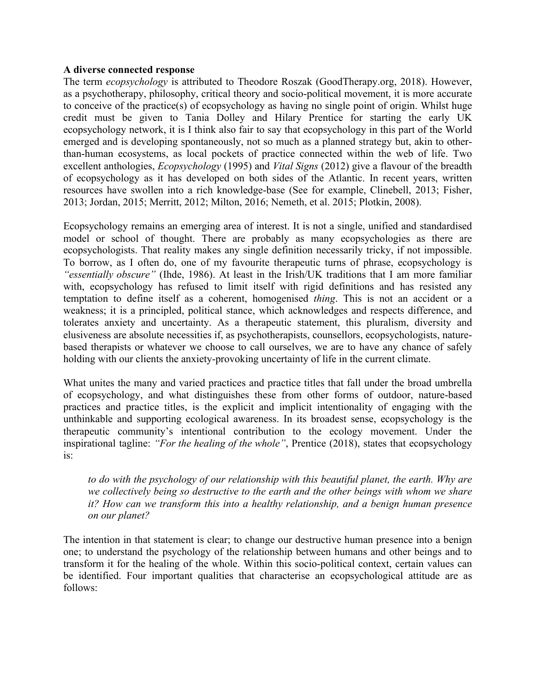#### **A diverse connected response**

The term *ecopsychology* is attributed to Theodore Roszak (GoodTherapy.org, 2018). However, as a psychotherapy, philosophy, critical theory and socio-political movement, it is more accurate to conceive of the practice(s) of ecopsychology as having no single point of origin. Whilst huge credit must be given to Tania Dolley and Hilary Prentice for starting the early UK ecopsychology network, it is I think also fair to say that ecopsychology in this part of the World emerged and is developing spontaneously, not so much as a planned strategy but, akin to otherthan-human ecosystems, as local pockets of practice connected within the web of life. Two excellent anthologies, *Ecopsychology* (1995) and *Vital Signs* (2012) give a flavour of the breadth of ecopsychology as it has developed on both sides of the Atlantic. In recent years, written resources have swollen into a rich knowledge-base (See for example, Clinebell, 2013; Fisher, 2013; Jordan, 2015; Merritt, 2012; Milton, 2016; Nemeth, et al. 2015; Plotkin, 2008).

Ecopsychology remains an emerging area of interest. It is not a single, unified and standardised model or school of thought. There are probably as many ecopsychologies as there are ecopsychologists. That reality makes any single definition necessarily tricky, if not impossible. To borrow, as I often do, one of my favourite therapeutic turns of phrase, ecopsychology is *"essentially obscure"* (Ihde, 1986). At least in the Irish/UK traditions that I am more familiar with, ecopsychology has refused to limit itself with rigid definitions and has resisted any temptation to define itself as a coherent, homogenised *thing*. This is not an accident or a weakness; it is a principled, political stance, which acknowledges and respects difference, and tolerates anxiety and uncertainty. As a therapeutic statement, this pluralism, diversity and elusiveness are absolute necessities if, as psychotherapists, counsellors, ecopsychologists, naturebased therapists or whatever we choose to call ourselves, we are to have any chance of safely holding with our clients the anxiety-provoking uncertainty of life in the current climate.

What unites the many and varied practices and practice titles that fall under the broad umbrella of ecopsychology, and what distinguishes these from other forms of outdoor, nature-based practices and practice titles, is the explicit and implicit intentionality of engaging with the unthinkable and supporting ecological awareness. In its broadest sense, ecopsychology is the therapeutic community's intentional contribution to the ecology movement. Under the inspirational tagline: *"For the healing of the whole"*, Prentice (2018), states that ecopsychology is:

*to do with the psychology of our relationship with this beautiful planet, the earth. Why are we collectively being so destructive to the earth and the other beings with whom we share it? How can we transform this into a healthy relationship, and a benign human presence on our planet?*

The intention in that statement is clear; to change our destructive human presence into a benign one; to understand the psychology of the relationship between humans and other beings and to transform it for the healing of the whole. Within this socio-political context, certain values can be identified. Four important qualities that characterise an ecopsychological attitude are as follows: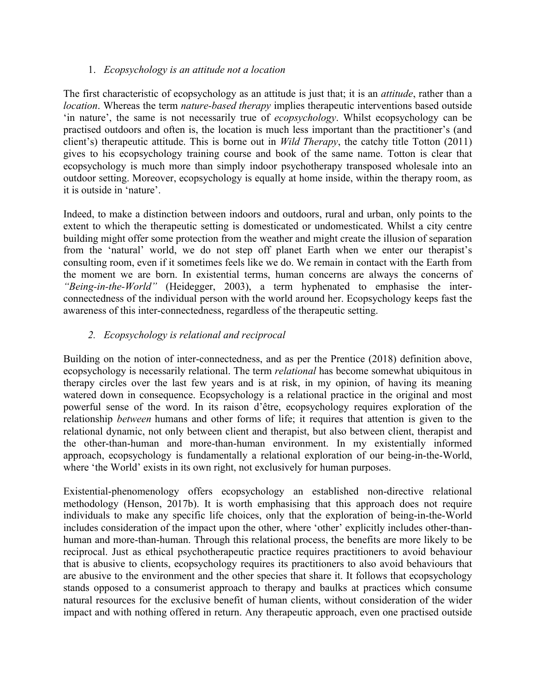## 1. *Ecopsychology is an attitude not a location*

The first characteristic of ecopsychology as an attitude is just that; it is an *attitude*, rather than a *location*. Whereas the term *nature-based therapy* implies therapeutic interventions based outside 'in nature', the same is not necessarily true of *ecopsychology*. Whilst ecopsychology can be practised outdoors and often is, the location is much less important than the practitioner's (and client's) therapeutic attitude. This is borne out in *Wild Therapy*, the catchy title Totton (2011) gives to his ecopsychology training course and book of the same name. Totton is clear that ecopsychology is much more than simply indoor psychotherapy transposed wholesale into an outdoor setting. Moreover, ecopsychology is equally at home inside, within the therapy room, as it is outside in 'nature'.

Indeed, to make a distinction between indoors and outdoors, rural and urban, only points to the extent to which the therapeutic setting is domesticated or undomesticated. Whilst a city centre building might offer some protection from the weather and might create the illusion of separation from the 'natural' world, we do not step off planet Earth when we enter our therapist's consulting room, even if it sometimes feels like we do. We remain in contact with the Earth from the moment we are born. In existential terms, human concerns are always the concerns of *"Being-in-the-World"* (Heidegger, 2003), a term hyphenated to emphasise the interconnectedness of the individual person with the world around her. Ecopsychology keeps fast the awareness of this inter-connectedness, regardless of the therapeutic setting.

## *2. Ecopsychology is relational and reciprocal*

Building on the notion of inter-connectedness, and as per the Prentice (2018) definition above, ecopsychology is necessarily relational. The term *relational* has become somewhat ubiquitous in therapy circles over the last few years and is at risk, in my opinion, of having its meaning watered down in consequence. Ecopsychology is a relational practice in the original and most powerful sense of the word. In its raison d'être, ecopsychology requires exploration of the relationship *between* humans and other forms of life; it requires that attention is given to the relational dynamic, not only between client and therapist, but also between client, therapist and the other-than-human and more-than-human environment. In my existentially informed approach, ecopsychology is fundamentally a relational exploration of our being-in-the-World, where 'the World' exists in its own right, not exclusively for human purposes.

Existential-phenomenology offers ecopsychology an established non-directive relational methodology (Henson, 2017b). It is worth emphasising that this approach does not require individuals to make any specific life choices, only that the exploration of being-in-the-World includes consideration of the impact upon the other, where 'other' explicitly includes other-thanhuman and more-than-human. Through this relational process, the benefits are more likely to be reciprocal. Just as ethical psychotherapeutic practice requires practitioners to avoid behaviour that is abusive to clients, ecopsychology requires its practitioners to also avoid behaviours that are abusive to the environment and the other species that share it. It follows that ecopsychology stands opposed to a consumerist approach to therapy and baulks at practices which consume natural resources for the exclusive benefit of human clients, without consideration of the wider impact and with nothing offered in return. Any therapeutic approach, even one practised outside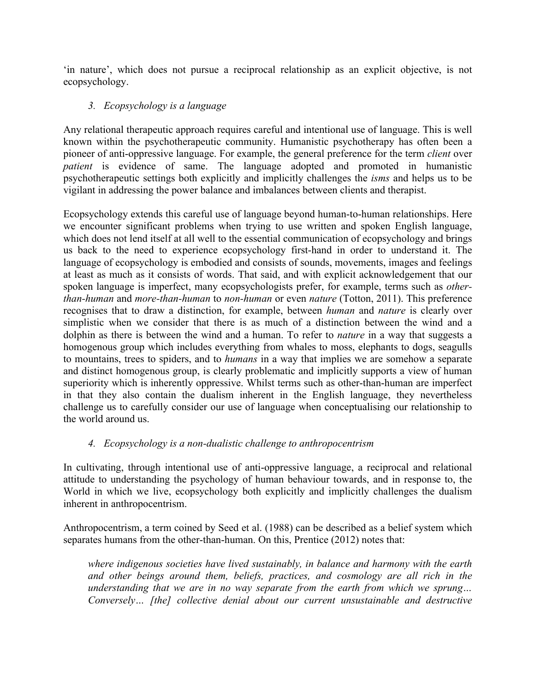'in nature', which does not pursue a reciprocal relationship as an explicit objective, is not ecopsychology.

## *3. Ecopsychology is a language*

Any relational therapeutic approach requires careful and intentional use of language. This is well known within the psychotherapeutic community. Humanistic psychotherapy has often been a pioneer of anti-oppressive language. For example, the general preference for the term *client* over *patient* is evidence of same. The language adopted and promoted in humanistic psychotherapeutic settings both explicitly and implicitly challenges the *isms* and helps us to be vigilant in addressing the power balance and imbalances between clients and therapist.

Ecopsychology extends this careful use of language beyond human-to-human relationships. Here we encounter significant problems when trying to use written and spoken English language, which does not lend itself at all well to the essential communication of ecopsychology and brings us back to the need to experience ecopsychology first-hand in order to understand it. The language of ecopsychology is embodied and consists of sounds, movements, images and feelings at least as much as it consists of words. That said, and with explicit acknowledgement that our spoken language is imperfect, many ecopsychologists prefer, for example, terms such as *otherthan-human* and *more-than-human* to *non-human* or even *nature* (Totton, 2011). This preference recognises that to draw a distinction, for example, between *human* and *nature* is clearly over simplistic when we consider that there is as much of a distinction between the wind and a dolphin as there is between the wind and a human. To refer to *nature* in a way that suggests a homogenous group which includes everything from whales to moss, elephants to dogs, seagulls to mountains, trees to spiders, and to *humans* in a way that implies we are somehow a separate and distinct homogenous group, is clearly problematic and implicitly supports a view of human superiority which is inherently oppressive. Whilst terms such as other-than-human are imperfect in that they also contain the dualism inherent in the English language, they nevertheless challenge us to carefully consider our use of language when conceptualising our relationship to the world around us.

# *4. Ecopsychology is a non-dualistic challenge to anthropocentrism*

In cultivating, through intentional use of anti-oppressive language, a reciprocal and relational attitude to understanding the psychology of human behaviour towards, and in response to, the World in which we live, ecopsychology both explicitly and implicitly challenges the dualism inherent in anthropocentrism.

Anthropocentrism, a term coined by Seed et al. (1988) can be described as a belief system which separates humans from the other-than-human. On this, Prentice (2012) notes that:

*where indigenous societies have lived sustainably, in balance and harmony with the earth and other beings around them, beliefs, practices, and cosmology are all rich in the understanding that we are in no way separate from the earth from which we sprung… Conversely… [the] collective denial about our current unsustainable and destructive*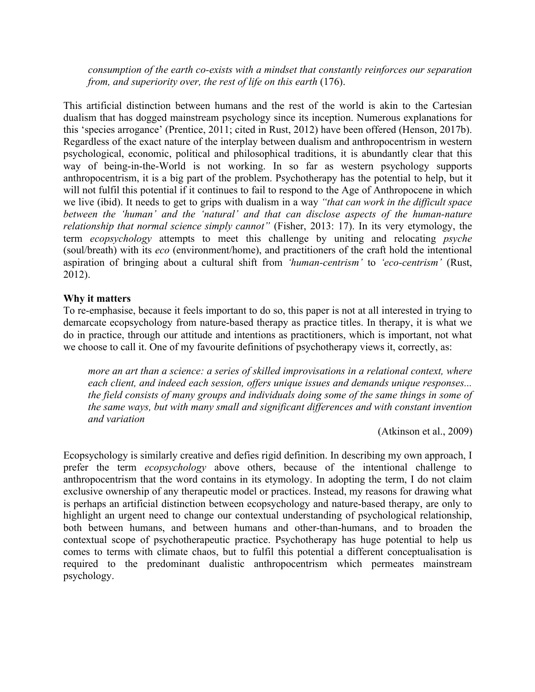*consumption of the earth co-exists with a mindset that constantly reinforces our separation from, and superiority over, the rest of life on this earth* (176).

This artificial distinction between humans and the rest of the world is akin to the Cartesian dualism that has dogged mainstream psychology since its inception. Numerous explanations for this 'species arrogance' (Prentice, 2011; cited in Rust, 2012) have been offered (Henson, 2017b). Regardless of the exact nature of the interplay between dualism and anthropocentrism in western psychological, economic, political and philosophical traditions, it is abundantly clear that this way of being-in-the-World is not working. In so far as western psychology supports anthropocentrism, it is a big part of the problem. Psychotherapy has the potential to help, but it will not fulfil this potential if it continues to fail to respond to the Age of Anthropocene in which we live (ibid). It needs to get to grips with dualism in a way *"that can work in the difficult space between the 'human' and the 'natural' and that can disclose aspects of the human-nature relationship that normal science simply cannot"* (Fisher, 2013: 17). In its very etymology, the term *ecopsychology* attempts to meet this challenge by uniting and relocating *psyche* (soul/breath) with its *eco* (environment/home), and practitioners of the craft hold the intentional aspiration of bringing about a cultural shift from *'human-centrism'* to *'eco-centrism'* (Rust, 2012).

### **Why it matters**

To re-emphasise, because it feels important to do so, this paper is not at all interested in trying to demarcate ecopsychology from nature-based therapy as practice titles. In therapy, it is what we do in practice, through our attitude and intentions as practitioners, which is important, not what we choose to call it. One of my favourite definitions of psychotherapy views it, correctly, as:

*more an art than a science: a series of skilled improvisations in a relational context, where each client, and indeed each session, offers unique issues and demands unique responses... the field consists of many groups and individuals doing some of the same things in some of the same ways, but with many small and significant differences and with constant invention and variation*

(Atkinson et al., 2009)

Ecopsychology is similarly creative and defies rigid definition. In describing my own approach, I prefer the term *ecopsychology* above others, because of the intentional challenge to anthropocentrism that the word contains in its etymology. In adopting the term, I do not claim exclusive ownership of any therapeutic model or practices. Instead, my reasons for drawing what is perhaps an artificial distinction between ecopsychology and nature-based therapy, are only to highlight an urgent need to change our contextual understanding of psychological relationship, both between humans, and between humans and other-than-humans, and to broaden the contextual scope of psychotherapeutic practice. Psychotherapy has huge potential to help us comes to terms with climate chaos, but to fulfil this potential a different conceptualisation is required to the predominant dualistic anthropocentrism which permeates mainstream psychology.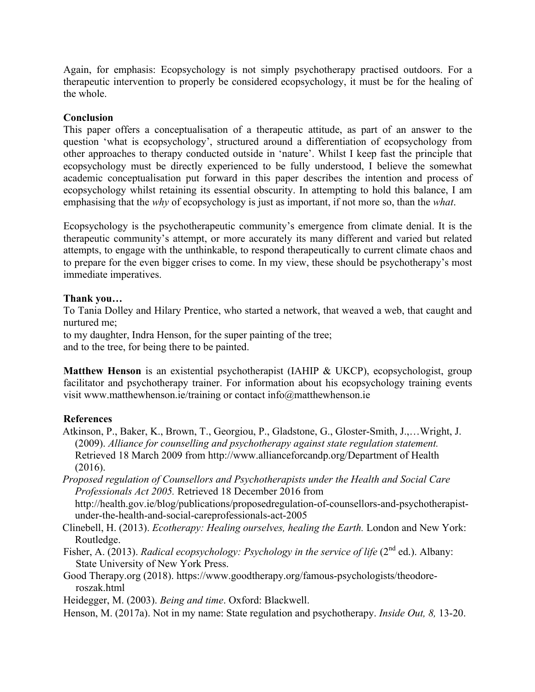Again, for emphasis: Ecopsychology is not simply psychotherapy practised outdoors. For a therapeutic intervention to properly be considered ecopsychology, it must be for the healing of the whole.

### **Conclusion**

This paper offers a conceptualisation of a therapeutic attitude, as part of an answer to the question 'what is ecopsychology', structured around a differentiation of ecopsychology from other approaches to therapy conducted outside in 'nature'. Whilst I keep fast the principle that ecopsychology must be directly experienced to be fully understood, I believe the somewhat academic conceptualisation put forward in this paper describes the intention and process of ecopsychology whilst retaining its essential obscurity. In attempting to hold this balance, I am emphasising that the *why* of ecopsychology is just as important, if not more so, than the *what*.

Ecopsychology is the psychotherapeutic community's emergence from climate denial. It is the therapeutic community's attempt, or more accurately its many different and varied but related attempts, to engage with the unthinkable, to respond therapeutically to current climate chaos and to prepare for the even bigger crises to come. In my view, these should be psychotherapy's most immediate imperatives.

### **Thank you…**

To Tania Dolley and Hilary Prentice, who started a network, that weaved a web, that caught and nurtured me;

to my daughter, Indra Henson, for the super painting of the tree;

and to the tree, for being there to be painted.

**Matthew Henson** is an existential psychotherapist (IAHIP & UKCP), ecopsychologist, group facilitator and psychotherapy trainer. For information about his ecopsychology training events visit www.matthewhenson.ie/training or contact info@matthewhenson.ie

### **References**

- Atkinson, P., Baker, K., Brown, T., Georgiou, P., Gladstone, G., Gloster-Smith, J.,…Wright, J. (2009). *Alliance for counselling and psychotherapy against state regulation statement.*  Retrieved 18 March 2009 from http://www.allianceforcandp.org/Department of Health  $(2016)$ .
- *Proposed regulation of Counsellors and Psychotherapists under the Health and Social Care Professionals Act 2005.* Retrieved 18 December 2016 from

http://health.gov.ie/blog/publications/proposedregulation-of-counsellors-and-psychotherapistunder-the-health-and-social-careprofessionals-act-2005

- Clinebell, H. (2013). *Ecotherapy: Healing ourselves, healing the Earth.* London and New York: Routledge.
- Fisher, A. (2013). *Radical ecopsychology: Psychology in the service of life* (2<sup>nd</sup> ed.). Albany: State University of New York Press.
- Good Therapy.org (2018). https://www.goodtherapy.org/famous-psychologists/theodoreroszak.html

Heidegger, M. (2003). *Being and time*. Oxford: Blackwell.

Henson, M. (2017a). Not in my name: State regulation and psychotherapy. *Inside Out, 8,* 13-20.